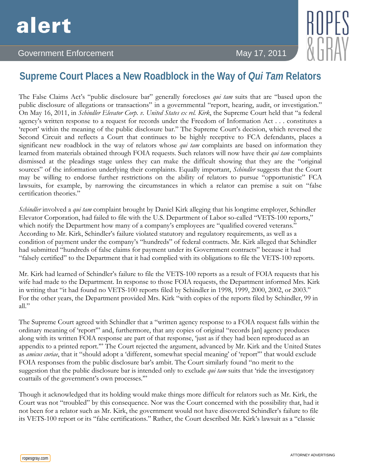## Government Enforcement May 17, 2011

## **Supreme Court Places a New Roadblock in the Way of** *Qui Tam* **Relators**

The False Claims Act's "public disclosure bar" generally forecloses *qui tam* suits that are "based upon the public disclosure of allegations or transactions" in a governmental "report, hearing, audit, or investigation." On May 16, 2011, in *Schindler Elevator Corp. v. United States ex rel. Kirk*, the Supreme Court held that "a federal agency's written response to a request for records under the Freedom of Information Act . . . constitutes a 'report' within the meaning of the public disclosure bar." The Supreme Court's decision, which reversed the Second Circuit and reflects a Court that continues to be highly receptive to FCA defendants, places a significant new roadblock in the way of relators whose *qui tam* complaints are based on information they learned from materials obtained through FOIA requests. Such relators will now have their *qui tam* complaints dismissed at the pleadings stage unless they can make the difficult showing that they are the "original sources" of the information underlying their complaints. Equally important, *Schindler* suggests that the Court may be willing to endorse further restrictions on the ability of relators to pursue "opportunistic" FCA lawsuits, for example, by narrowing the circumstances in which a relator can premise a suit on "false certification theories."

*Schindler* involved a *qui tam* complaint brought by Daniel Kirk alleging that his longtime employer, Schindler Elevator Corporation, had failed to file with the U.S. Department of Labor so-called "VETS-100 reports," which notify the Department how many of a company's employees are "qualified covered veterans." According to Mr. Kirk, Schindler's failure violated statutory and regulatory requirements, as well as a condition of payment under the company's "hundreds" of federal contracts. Mr. Kirk alleged that Schindler had submitted "hundreds of false claims for payment under its Government contracts" because it had "falsely certified" to the Department that it had complied with its obligations to file the VETS-100 reports.

Mr. Kirk had learned of Schindler's failure to file the VETS-100 reports as a result of FOIA requests that his wife had made to the Department. In response to those FOIA requests, the Department informed Mrs. Kirk in writing that "it had found no VETS-100 reports filed by Schindler in 1998, 1999, 2000, 2002, or 2003." For the other years, the Department provided Mrs. Kirk "with copies of the reports filed by Schindler, 99 in all."

The Supreme Court agreed with Schindler that a "written agency response to a FOIA request falls within the ordinary meaning of 'report'" and, furthermore, that any copies of original "records [an] agency produces along with its written FOIA response are part of that response, 'just as if they had been reproduced as an appendix to a printed report.'" The Court rejected the argument, advanced by Mr. Kirk and the United States as *amicus curiae*, that it "should adopt a 'different, somewhat special meaning' of 'report'" that would exclude FOIA responses from the public disclosure bar's ambit. The Court similarly found "no merit to the suggestion that the public disclosure bar is intended only to exclude *qui tam* suits that 'ride the investigatory coattails of the government's own processes.'"

Though it acknowledged that its holding would make things more difficult for relators such as Mr. Kirk, the Court was not "troubled" by this consequence. Nor was the Court concerned with the possibility that, had it not been for a relator such as Mr. Kirk, the government would not have discovered Schindler's failure to file its VETS-100 report or its "false certifications." Rather, the Court described Mr. Kirk's lawsuit as a "classic